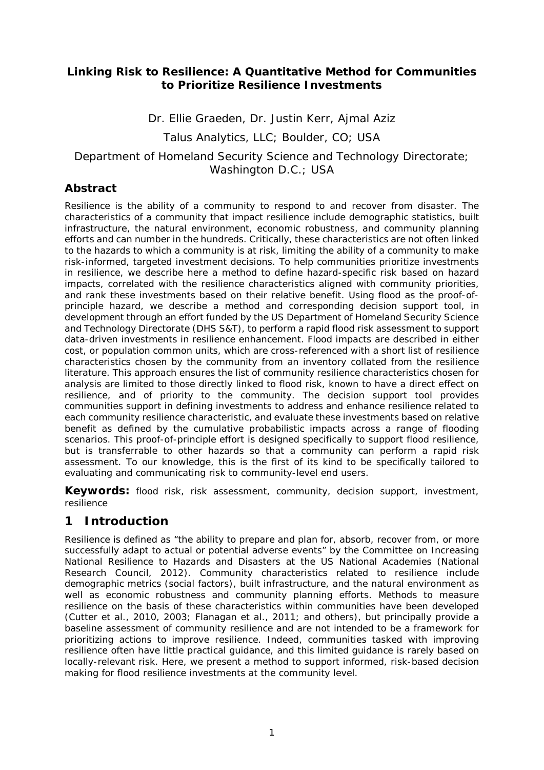### **Linking Risk to Resilience: A Quantitative Method for Communities to Prioritize Resilience Investments**

Dr. Ellie Graeden, Dr. Justin Kerr, Ajmal Aziz *Talus Analytics, LLC; Boulder, CO; USA Department of Homeland Security Science and Technology Directorate; Washington D.C.; USA*

#### **Abstract**

Resilience is the ability of a community to respond to and recover from disaster. The characteristics of a community that impact resilience include demographic statistics, built infrastructure, the natural environment, economic robustness, and community planning efforts and can number in the hundreds. Critically, these characteristics are not often linked to the hazards to which a community is at risk, limiting the ability of a community to make risk-informed, targeted investment decisions. To help communities prioritize investments in resilience, we describe here a method to define hazard-specific risk based on hazard impacts, correlated with the resilience characteristics aligned with community priorities, and rank these investments based on their relative benefit. Using flood as the proof-ofprinciple hazard, we describe a method and corresponding decision support tool, in development through an effort funded by the US Department of Homeland Security Science and Technology Directorate (DHS S&T), to perform a rapid flood risk assessment to support data-driven investments in resilience enhancement. Flood impacts are described in either cost, or population common units, which are cross-referenced with a short list of resilience characteristics chosen by the community from an inventory collated from the resilience literature. This approach ensures the list of community resilience characteristics chosen for analysis are limited to those directly linked to flood risk, known to have a direct effect on resilience, and of priority to the community. The decision support tool provides communities support in defining investments to address and enhance resilience related to each community resilience characteristic, and evaluate these investments based on relative benefit as defined by the cumulative probabilistic impacts across a range of flooding scenarios. This proof-of-principle effort is designed specifically to support flood resilience, but is transferrable to other hazards so that a community can perform a rapid risk assessment. To our knowledge, this is the first of its kind to be specifically tailored to evaluating and communicating risk to community-level end users.

**Keywords:** flood risk, risk assessment, community, decision support, investment, resilience

## **1 Introduction**

Resilience is defined as "the ability to prepare and plan for, absorb, recover from, or more successfully adapt to actual or potential adverse events" by the Committee on Increasing National Resilience to Hazards and Disasters at the US National Academies (National Research Council, 2012). Community characteristics related to resilience include demographic metrics (social factors), built infrastructure, and the natural environment as well as economic robustness and community planning efforts. Methods to measure resilience on the basis of these characteristics within communities have been developed (Cutter et al., 2010, 2003; Flanagan et al., 2011; and others), but principally provide a baseline assessment of community resilience and are not intended to be a framework for prioritizing actions to improve resilience. Indeed, communities tasked with improving resilience often have little practical guidance, and this limited guidance is rarely based on locally-relevant risk. Here, we present a method to support informed, risk-based decision making for flood resilience investments at the community level.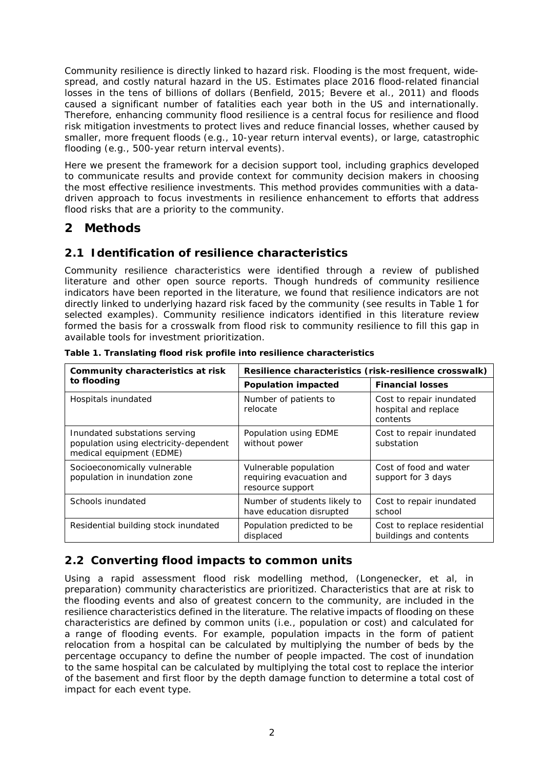Community resilience is directly linked to hazard risk. Flooding is the most frequent, widespread, and costly natural hazard in the US. Estimates place 2016 flood-related financial losses in the tens of billions of dollars (Benfield, 2015; Bevere et al., 2011) and floods caused a significant number of fatalities each year both in the US and internationally. Therefore, enhancing community flood resilience is a central focus for resilience and flood risk mitigation investments to protect lives and reduce financial losses, whether caused by smaller, more frequent floods (e.g., 10-year return interval events), or large, catastrophic flooding (e.g., 500-year return interval events).

Here we present the framework for a decision support tool, including graphics developed to communicate results and provide context for community decision makers in choosing the most effective resilience investments. This method provides communities with a datadriven approach to focus investments in resilience enhancement to efforts that address flood risks that are a priority to the community.

# **2 Methods**

## **2.1 Identification of resilience characteristics**

Community resilience characteristics were identified through a review of published literature and other open source reports. Though hundreds of community resilience indicators have been reported in the literature, we found that resilience indicators are not directly linked to underlying hazard risk faced by the community (see results in Table 1 for selected examples). Community resilience indicators identified in this literature review formed the basis for a crosswalk from flood risk to community resilience to fill this gap in available tools for investment prioritization.

| Community characteristics at risk                                                                   | Resilience characteristics (risk-resilience crosswalk)                |                                                              |
|-----------------------------------------------------------------------------------------------------|-----------------------------------------------------------------------|--------------------------------------------------------------|
| to flooding                                                                                         | <b>Population impacted</b>                                            | <b>Financial losses</b>                                      |
| Hospitals inundated                                                                                 | Number of patients to<br>relocate                                     | Cost to repair inundated<br>hospital and replace<br>contents |
| Inundated substations serving<br>population using electricity-dependent<br>medical equipment (EDME) | Population using EDME<br>without power                                | Cost to repair inundated<br>substation                       |
| Socioeconomically vulnerable<br>population in inundation zone                                       | Vulnerable population<br>requiring evacuation and<br>resource support | Cost of food and water<br>support for 3 days                 |
| Schools inundated                                                                                   | Number of students likely to<br>have education disrupted              | Cost to repair inundated<br>school                           |
| Residential building stock inundated                                                                | Population predicted to be<br>displaced                               | Cost to replace residential<br>buildings and contents        |

**Table 1. Translating flood risk profile into resilience characteristics**

### **2.2 Converting flood impacts to common units**

Using a rapid assessment flood risk modelling method, (Longenecker, et al, *in preparation*) community characteristics are prioritized. Characteristics that are at risk to the flooding events and also of greatest concern to the community, are included in the resilience characteristics defined in the literature. The relative impacts of flooding on these characteristics are defined by common units (i.e., population or cost) and calculated for a range of flooding events. For example, population impacts in the form of patient relocation from a hospital can be calculated by multiplying the number of beds by the percentage occupancy to define the number of people impacted. The cost of inundation to the same hospital can be calculated by multiplying the total cost to replace the interior of the basement and first floor by the depth damage function to determine a total cost of impact for each event type.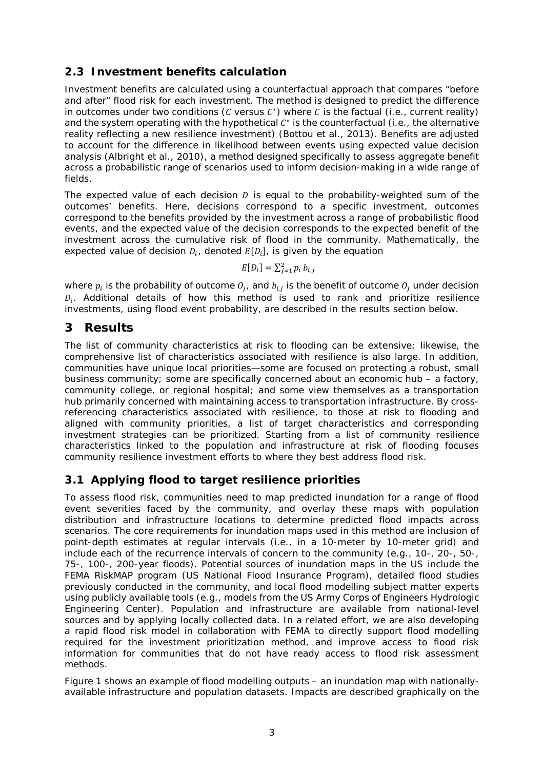### **2.3 Investment benefits calculation**

Investment benefits are calculated using a counterfactual approach that compares "before and after" flood risk for each investment. The method is designed to predict the difference in outcomes under two conditions ( $\mathcal C$  versus  $\mathcal C^*$ ) where  $\mathcal C$  is the factual (i.e., current reality) and the system operating with the hypothetical  $C^*$  is the counterfactual (i.e., the alternative reality reflecting a new resilience investment) (Bottou et al., 2013). Benefits are adjusted to account for the difference in likelihood between events using expected value decision analysis (Albright et al., 2010), a method designed specifically to assess aggregate benefit across a probabilistic range of scenarios used to inform decision-making in a wide range of fields.

The expected value of each decision  $D$  is equal to the probability-weighted sum of the outcomes' benefits. Here, decisions correspond to a specific investment, outcomes correspond to the benefits provided by the investment across a range of probabilistic flood events, and the expected value of the decision corresponds to the expected benefit of the investment across the cumulative risk of flood in the community. Mathematically, the expected value of decision  $D_i$ , denoted  $E[D_i]$ , is given by the equation

$$
E[D_i] = \sum_{j=1}^{2} p_i b_{i,j}
$$

where  $p_i$  is the probability of outcome  $O_i$ , and  $b_{i,j}$  is the benefit of outcome  $O_i$  under decision  $D_i$ . Additional details of how this method is used to rank and prioritize resilience investments, using flood event probability, are described in the results section below.

### **3 Results**

The list of community characteristics at risk to flooding can be extensive; likewise, the comprehensive list of characteristics associated with resilience is also large. In addition, communities have unique local priorities—some are focused on protecting a robust, small business community; some are specifically concerned about an economic hub – a factory, community college, or regional hospital; and some view themselves as a transportation hub primarily concerned with maintaining access to transportation infrastructure. By crossreferencing characteristics associated with resilience, to those at risk to flooding and aligned with community priorities, a list of target characteristics and corresponding investment strategies can be prioritized. Starting from a list of community resilience characteristics linked to the population and infrastructure at risk of flooding focuses community resilience investment efforts to where they best address flood risk.

### **3.1 Applying flood to target resilience priorities**

To assess flood risk, communities need to map predicted inundation for a range of flood event severities faced by the community, and overlay these maps with population distribution and infrastructure locations to determine predicted flood impacts across scenarios. The core requirements for inundation maps used in this method are inclusion of point-depth estimates at regular intervals (i.e., in a 10-meter by 10-meter grid) and include each of the recurrence intervals of concern to the community (e.g., 10-, 20-, 50-, 75-, 100-, 200-year floods). Potential sources of inundation maps in the US include the FEMA RiskMAP program (US National Flood Insurance Program), detailed flood studies previously conducted in the community, and local flood modelling subject matter experts using publicly available tools (e.g., models from the US Army Corps of Engineers Hydrologic Engineering Center). Population and infrastructure are available from national-level sources and by applying locally collected data. In a related effort, we are also developing a rapid flood risk model in collaboration with FEMA to directly support flood modelling required for the investment prioritization method, and improve access to flood risk information for communities that do not have ready access to flood risk assessment methods.

Figure 1 shows an example of flood modelling outputs – an inundation map with nationallyavailable infrastructure and population datasets. Impacts are described graphically on the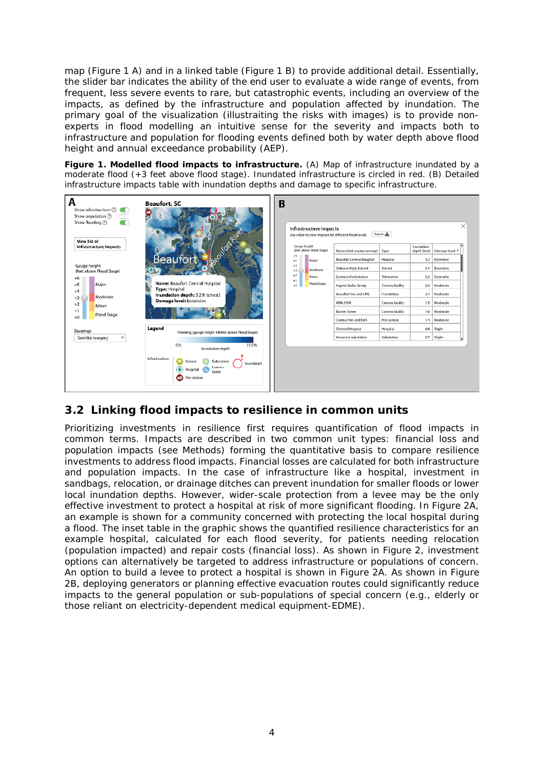map (Figure 1 A) and in a linked table (Figure 1 B) to provide additional detail. Essentially, the slider bar indicates the ability of the end user to evaluate a wide range of events, from frequent, less severe events to rare, but catastrophic events, including an overview of the impacts, as defined by the infrastructure and population affected by inundation. The primary goal of the visualization (illustraiting the risks with images) is to provide nonexperts in flood modelling an intuitive sense for the severity and impacts both to infrastructure and population for flooding events defined both by water depth above flood height and annual exceedance probability (AEP).

**Figure 1. Modelled flood impacts to infrastructure.** (A) Map of infrastructure inundated by a moderate flood (+3 feet above flood stage). Inundated infrastructure is circled in red. (B) Detailed infrastructure impacts table with inundation depths and damage to specific infrastructure.



### **3.2 Linking flood impacts to resilience in common units**

Prioritizing investments in resilience first requires quantification of flood impacts in common terms. Impacts are described in two common unit types: financial loss and population impacts (see Methods) forming the quantitative basis to compare resilience investments to address flood impacts. Financial losses are calculated for both infrastructure and population impacts. In the case of infrastructure like a hospital, investment in sandbags, relocation, or drainage ditches can prevent inundation for smaller floods or lower local inundation depths. However, wider-scale protection from a levee may be the only effective investment to protect a hospital at risk of more significant flooding. In Figure 2A, an example is shown for a community concerned with protecting the local hospital during a flood. The inset table in the graphic shows the quantified resilience characteristics for an example hospital, calculated for each flood severity, for patients needing relocation (population impacted) and repair costs (financial loss). As shown in Figure 2, investment options can alternatively be targeted to address infrastructure or populations of concern. An option to build a levee to protect a hospital is shown in Figure 2A. As shown in Figure 2B, deploying generators or planning effective evacuation routes could significantly reduce impacts to the general population or sub-populations of special concern (e.g., elderly or those reliant on electricity-dependent medical equipment-EDME).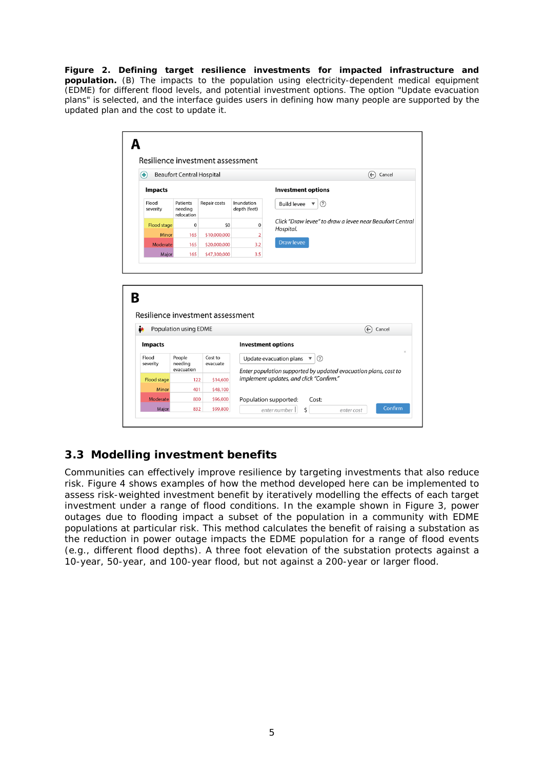**Figure 2. Defining target resilience investments for impacted infrastructure and population.** (B) The impacts to the population using electricity-dependent medical equipment (EDME) for different flood levels, and potential investment options. The option "Update evacuation plans" is selected, and the interface guides users in defining how many people are supported by the updated plan and the cost to update it.

| ⊕                           | <b>Beaufort Central Hospital</b>  |                                  |                            | $\left(\leftarrow\right)$<br>Cancel                                                                                    |
|-----------------------------|-----------------------------------|----------------------------------|----------------------------|------------------------------------------------------------------------------------------------------------------------|
|                             |                                   |                                  |                            |                                                                                                                        |
| Impacts                     |                                   |                                  |                            | <b>Investment options</b>                                                                                              |
| Flood<br>severity           | Patients<br>needing<br>relocation | Repair costs                     | Inundation<br>depth (feet) | <b>Build levee</b><br>(2)<br>$\overline{\mathbf{v}}$                                                                   |
| <b>Flood stage</b>          | $\mathbf 0$                       | \$0                              | $\mathbf 0$                | Click "Draw levee" to draw a levee near Beaufort Central<br>Hospital.                                                  |
| Minor                       | 165                               | \$10,000,000                     | $\overline{2}$             |                                                                                                                        |
| Moderate                    | 165                               | \$20,000,000                     | 3.2                        | <b>Draw levee</b>                                                                                                      |
| Major                       | 165                               | \$47,300,000                     | 3.5                        |                                                                                                                        |
|                             |                                   |                                  |                            |                                                                                                                        |
|                             |                                   | Resilience investment assessment |                            |                                                                                                                        |
| à.                          | Population using EDME             |                                  |                            | ∈<br>Cancel                                                                                                            |
| <b>Impacts</b>              |                                   |                                  | <b>Investment options</b>  |                                                                                                                        |
| Flood<br>severity           | People<br>needing                 | Cost to<br>evacuate              |                            | (2)<br>Update evacuation plans $\overline{\mathbf{v}}$                                                                 |
|                             | evacuation<br>122                 | \$14,600                         |                            | $\times$<br>Enter population supported by updated evacuation plans, cost to<br>implement updates, and click "Confirm." |
| <b>Flood stage</b><br>Minor | 401                               |                                  |                            |                                                                                                                        |
| Moderate                    | 800                               | \$48,100<br>\$96,000             |                            | Population supported:<br>Cost:                                                                                         |

## **3.3 Modelling investment benefits**

Communities can effectively improve resilience by targeting investments that also reduce risk. Figure 4 shows examples of how the method developed here can be implemented to assess risk-weighted investment benefit by iteratively modelling the effects of each target investment under a range of flood conditions. In the example shown in Figure 3, power outages due to flooding impact a subset of the population in a community with EDME populations at particular risk. This method calculates the benefit of raising a substation as the reduction in power outage impacts the EDME population for a range of flood events (e.g., different flood depths). A three foot elevation of the substation protects against a 10-year, 50-year, and 100-year flood, but not against a 200-year or larger flood.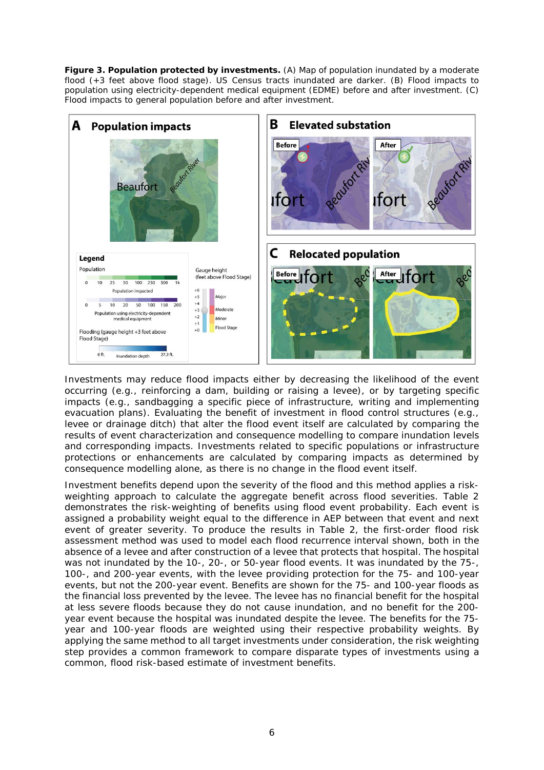**Figure 3. Population protected by investments.** (A) Map of population inundated by a moderate flood (+3 feet above flood stage). US Census tracts inundated are darker. (B) Flood impacts to population using electricity-dependent medical equipment (EDME) before and after investment. (C) Flood impacts to general population before and after investment.



Investments may reduce flood impacts either by decreasing the likelihood of the event occurring (e.g., reinforcing a dam, building or raising a levee), or by targeting specific impacts (e.g., sandbagging a specific piece of infrastructure, writing and implementing evacuation plans). Evaluating the benefit of investment in flood control structures (e.g., levee or drainage ditch) that alter the flood event itself are calculated by comparing the results of event characterization and consequence modelling to compare inundation levels and corresponding impacts. Investments related to specific populations or infrastructure protections or enhancements are calculated by comparing impacts as determined by consequence modelling alone, as there is no change in the flood event itself.

Investment benefits depend upon the severity of the flood and this method applies a riskweighting approach to calculate the aggregate benefit across flood severities. Table 2 demonstrates the risk-weighting of benefits using flood event probability. Each event is assigned a probability weight equal to the difference in AEP between that event and next event of greater severity. To produce the results in Table 2, the first-order flood risk assessment method was used to model each flood recurrence interval shown, both in the absence of a levee and after construction of a levee that protects that hospital. The hospital was not inundated by the 10-, 20-, or 50-year flood events. It was inundated by the 75-, 100-, and 200-year events, with the levee providing protection for the 75- and 100-year events, but not the 200-year event. Benefits are shown for the 75- and 100-year floods as the financial loss prevented by the levee. The levee has no financial benefit for the hospital at less severe floods because they do not cause inundation, and no benefit for the 200 year event because the hospital was inundated despite the levee. The benefits for the 75 year and 100-year floods are weighted using their respective probability weights. By applying the same method to all target investments under consideration, the risk weighting step provides a common framework to compare disparate types of investments using a common, flood risk-based estimate of investment benefits.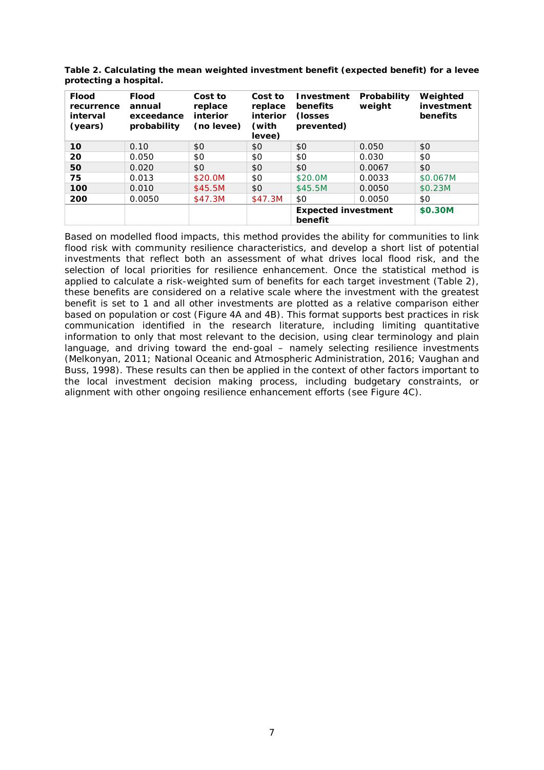| <b>Flood</b><br>recurrence<br>interval<br>(years) | <b>Flood</b><br>annual<br>exceedance<br>probability | Cost to<br>replace<br>interior<br>(no levee) | Cost to<br>replace<br>interior<br>(with<br>levee) | <b>Investment</b><br>benefits<br>(losses)<br>prevented) | Probability<br>weight | Weighted<br>investment<br>benefits |
|---------------------------------------------------|-----------------------------------------------------|----------------------------------------------|---------------------------------------------------|---------------------------------------------------------|-----------------------|------------------------------------|
| 10                                                | 0.10                                                | \$0                                          | \$0                                               | \$0                                                     | 0.050                 | \$0                                |
| 20                                                | 0.050                                               | \$0                                          | \$0                                               | \$0                                                     | 0.030                 | \$0                                |
| 50                                                | 0.020                                               | \$0                                          | \$0                                               | \$0                                                     | 0.0067                | \$0                                |
| 75                                                | 0.013                                               | \$20.0M                                      | \$0                                               | \$20.0M                                                 | 0.0033                | \$0.067M                           |
| 100                                               | 0.010                                               | \$45.5M                                      | \$0                                               | \$45.5M                                                 | 0.0050                | \$0.23M                            |
| 200                                               | 0.0050                                              | \$47.3M                                      | \$47.3M                                           | \$0                                                     | 0.0050                | \$0                                |
|                                                   |                                                     |                                              |                                                   | <b>Expected investment</b><br>benefit                   |                       | \$0.30M                            |

**Table 2. Calculating the mean weighted investment benefit (expected benefit) for a levee protecting a hospital.**

Based on modelled flood impacts, this method provides the ability for communities to link flood risk with community resilience characteristics, and develop a short list of potential investments that reflect both an assessment of what drives local flood risk, and the selection of local priorities for resilience enhancement. Once the statistical method is applied to calculate a risk-weighted sum of benefits for each target investment (Table 2), these benefits are considered on a relative scale where the investment with the greatest benefit is set to 1 and all other investments are plotted as a relative comparison either based on population or cost (Figure 4A and 4B). This format supports best practices in risk communication identified in the research literature, including limiting quantitative information to only that most relevant to the decision, using clear terminology and plain language, and driving toward the end-goal – namely selecting resilience investments (Melkonyan, 2011; National Oceanic and Atmospheric Administration, 2016; Vaughan and Buss, 1998). These results can then be applied in the context of other factors important to the local investment decision making process, including budgetary constraints, or alignment with other ongoing resilience enhancement efforts (see Figure 4C).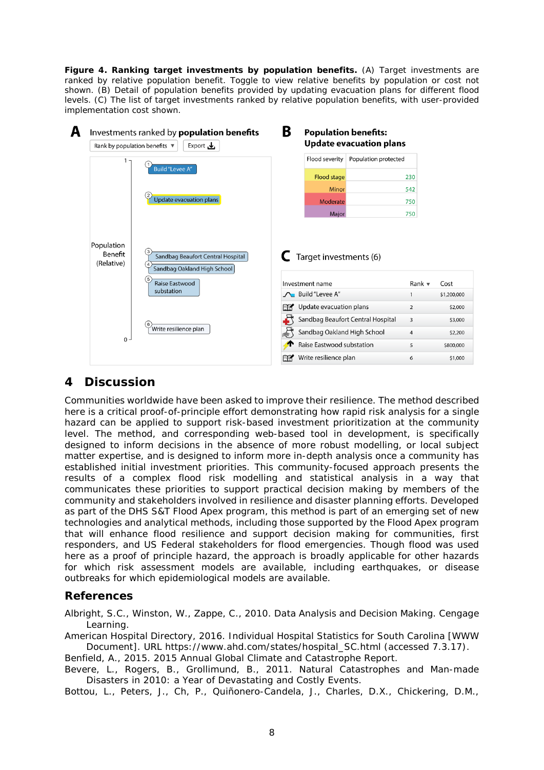**Figure 4. Ranking target investments by population benefits.** (A) Target investments are ranked by relative population benefit. Toggle to view relative benefits by population or cost not shown. (B) Detail of population benefits provided by updating evacuation plans for different flood levels. (C) The list of target investments ranked by relative population benefits, with user-provided implementation cost shown.

| Rank by population benefits $\blacktriangledown$ | Export $\mathbf{\mathbf{\mathbf{\mathsf{L}}}}$            |                                | <b>Update evacuation plans</b>    |                           |                                              |
|--------------------------------------------------|-----------------------------------------------------------|--------------------------------|-----------------------------------|---------------------------|----------------------------------------------|
|                                                  |                                                           | Flood severity                 | Population protected              |                           |                                              |
|                                                  | <b>Build "Levee A"</b>                                    | Flood stage                    |                                   | 230                       |                                              |
|                                                  |                                                           | Minor                          |                                   | 542                       |                                              |
|                                                  | $\overline{2}$<br>Update evacuation plans                 | Moderate                       |                                   | 750                       |                                              |
|                                                  |                                                           | Major                          |                                   | 750                       |                                              |
| Population<br>Benefit<br>(Relative)              | Sandbag Beaufort Central Hospital                         | Target investments (6)         |                                   |                           |                                              |
|                                                  | Sandbag Oakland High School<br>5<br><b>Raise Eastwood</b> | Investment name                |                                   | Rank $\blacktriangledown$ | Cost                                         |
|                                                  | substation                                                | <b>A</b> Build "Levee A"       |                                   |                           |                                              |
|                                                  |                                                           | Update evacuation plans<br>FZ. |                                   | 2                         |                                              |
|                                                  | 6                                                         |                                | Sandbag Beaufort Central Hospital | 3                         |                                              |
|                                                  | Write resilience plan                                     | Sandbag Oakland High School    |                                   | 4                         | \$1,200,000<br>\$2,000<br>\$3,000<br>\$2,200 |
| $0 \cdot$                                        |                                                           | Raise Eastwood substation      |                                   | 5                         | \$800,000                                    |

# **4 Discussion**

Communities worldwide have been asked to improve their resilience. The method described here is a critical proof-of-principle effort demonstrating how rapid risk analysis for a single hazard can be applied to support risk-based investment prioritization at the community level. The method, and corresponding web-based tool in development, is specifically designed to inform decisions in the absence of more robust modelling, or local subject matter expertise, and is designed to inform more in-depth analysis once a community has established initial investment priorities. This community-focused approach presents the results of a complex flood risk modelling and statistical analysis in a way that communicates these priorities to support practical decision making by members of the community and stakeholders involved in resilience and disaster planning efforts. Developed as part of the DHS S&T Flood Apex program, this method is part of an emerging set of new technologies and analytical methods, including those supported by the Flood Apex program that will enhance flood resilience and support decision making for communities, first responders, and US Federal stakeholders for flood emergencies. Though flood was used here as a proof of principle hazard, the approach is broadly applicable for other hazards for which risk assessment models are available, including earthquakes, or disease outbreaks for which epidemiological models are available.

### **References**

Albright, S.C., Winston, W., Zappe, C., 2010. Data Analysis and Decision Making. Cengage Learning.

American Hospital Directory, 2016. Individual Hospital Statistics for South Carolina [WWW Document]. URL [https://www.ahd.com/states/hospital\\_SC.html](https://www.ahd.com/states/hospital_SC.html) (accessed 7.3.17).

Benfield, A., 2015. 2015 Annual Global Climate and Catastrophe Report.

Bevere, L., Rogers, B., Grollimund, B., 2011. Natural Catastrophes and Man-made Disasters in 2010: a Year of Devastating and Costly Events.

Bottou, L., Peters, J., Ch, P., Quiñonero-Candela, J., Charles, D.X., Chickering, D.M.,